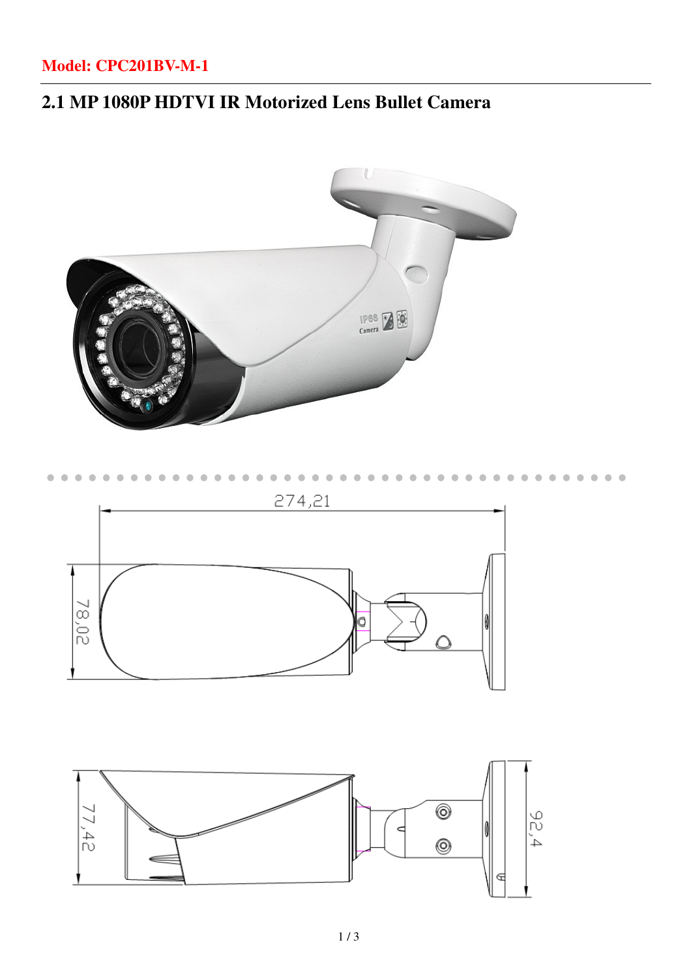### **Model: CPC201BV-M-1**

## **2.1 MP 1080P HDTVI IR Motorized Lens Bullet Camera**

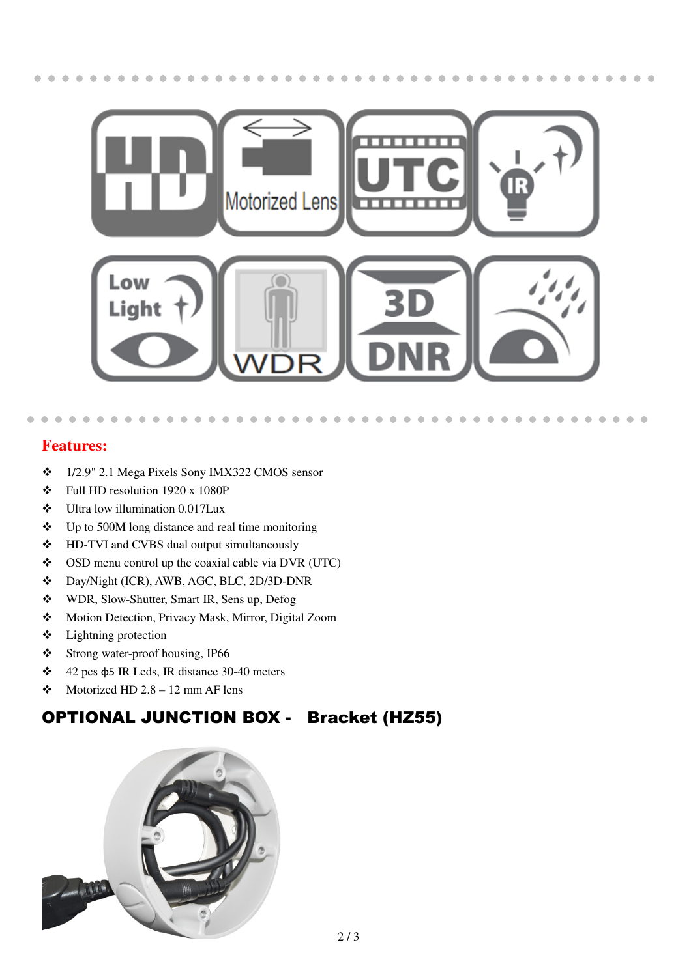

× ×  $\sqrt{2}$ 

#### **Features:**

j

- 1/2.9" 2.1 Mega Pixels Sony IMX322 CMOS sensor
- $\div$  Full HD resolution 1920 x 1080P
- Ultra low illumination 0.017Lux
- $\div$  Up to 500M long distance and real time monitoring
- HD-TVI and CVBS dual output simultaneously
- $\bullet$  OSD menu control up the coaxial cable via DVR (UTC)
- Day/Night (ICR), AWB, AGC, BLC, 2D/3D-DNR
- WDR, Slow-Shutter, Smart IR, Sens up, Defog
- Motion Detection, Privacy Mask, Mirror, Digital Zoom
- $\div$  Lightning protection
- Strong water-proof housing, IP66
- 42 pcs φ5 IR Leds, IR distance 30-40 meters
- $\bullet$  Motorized HD 2.8 12 mm AF lens

### OPTIONAL JUNCTION BOX - Bracket (HZ55)